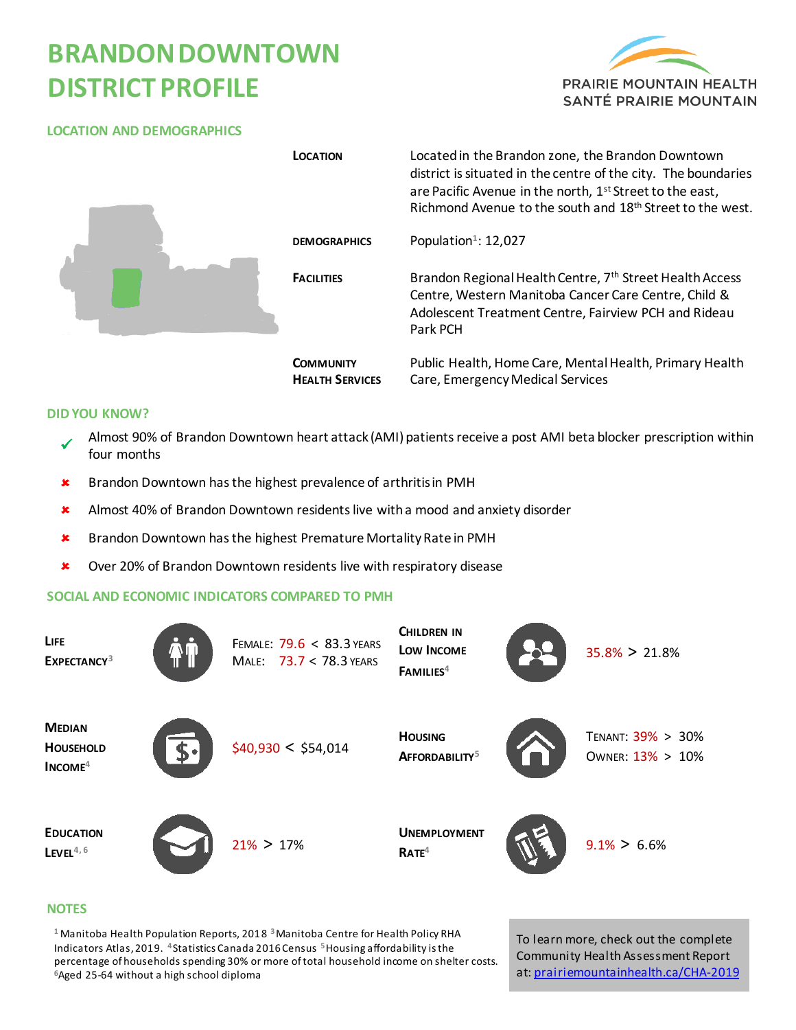# **BRANDONDOWNTOWN DISTRICT PROFILE**



### **LOCATION AND DEMOGRAPHICS**

|  | <b>LOCATION</b>                            | Located in the Brandon zone, the Brandon Downtown<br>district is situated in the centre of the city. The boundaries<br>are Pacific Avenue in the north, 1 <sup>st</sup> Street to the east,<br>Richmond Avenue to the south and 18 <sup>th</sup> Street to the west. |
|--|--------------------------------------------|----------------------------------------------------------------------------------------------------------------------------------------------------------------------------------------------------------------------------------------------------------------------|
|  | <b>DEMOGRAPHICS</b>                        | Population <sup>1</sup> : 12,027                                                                                                                                                                                                                                     |
|  | <b>FACILITIES</b>                          | Brandon Regional Health Centre, 7th Street Health Access<br>Centre, Western Manitoba Cancer Care Centre, Child &<br>Adolescent Treatment Centre, Fairview PCH and Rideau<br>Park PCH                                                                                 |
|  | <b>COMMUNITY</b><br><b>HEALTH SERVICES</b> | Public Health, Home Care, Mental Health, Primary Health<br>Care, Emergency Medical Services                                                                                                                                                                          |

#### **DID YOU KNOW?**

- $\checkmark$ Almost 90% of Brandon Downtown heart attack (AMI) patients receive a post AMI beta blocker prescription within four months
- **\*** Brandon Downtown has the highest prevalence of arthritis in PMH
- \* Almost 40% of Brandon Downtown residents live with a mood and anxiety disorder
- **\*** Brandon Downtown has the highest Premature Mortality Rate in PMH
- **\*** Over 20% of Brandon Downtown residents live with respiratory disease

#### **SOCIAL AND ECONOMIC INDICATORS COMPARED TO PMH**

| LIFE<br>EXPECTANCY <sup>3</sup>                | FEMALE: 79.6 < 83.3 YEARS<br>MALE: 73.7 < 78.3 YEARS | <b>CHILDREN IN</b><br>Low Income<br>FAMILIES <sup>4</sup> | $35.8\% > 21.8\%$                     |
|------------------------------------------------|------------------------------------------------------|-----------------------------------------------------------|---------------------------------------|
| <b>MEDIAN</b><br><b>HOUSEHOLD</b><br>$INCOME4$ | \$40,930 < \$54,014                                  | <b>HOUSING</b><br>AFFORDABILITY <sup>5</sup>              | TENANT: 39% > 30%<br>OWNER: 13% > 10% |
| <b>EDUCATION</b><br>$L$ EVEL <sup>4,6</sup>    | $21\% > 17\%$                                        | <b>UNEMPLOYMENT</b><br>RATE <sup>4</sup>                  | $9.1\% > 6.6\%$                       |

#### **NOTES**

**<sup>1</sup>** Manitoba Health Population Reports, 2018 **<sup>3</sup>**Manitoba Centre for Health Policy RHA Indicators Atlas, 2019. **<sup>4</sup>**Statistics Canada 2016Census **5**Housing affordability is the percentage of households spending 30% or more of total household income on shelter costs. **<sup>6</sup>**Aged 25-64 without a high school diploma

To learn more, check out the complete Community Health Assessment Report at[: prairiemountainhealth.ca/CHA-2019](https://prairiemountainhealth.ca/CHA-2019)